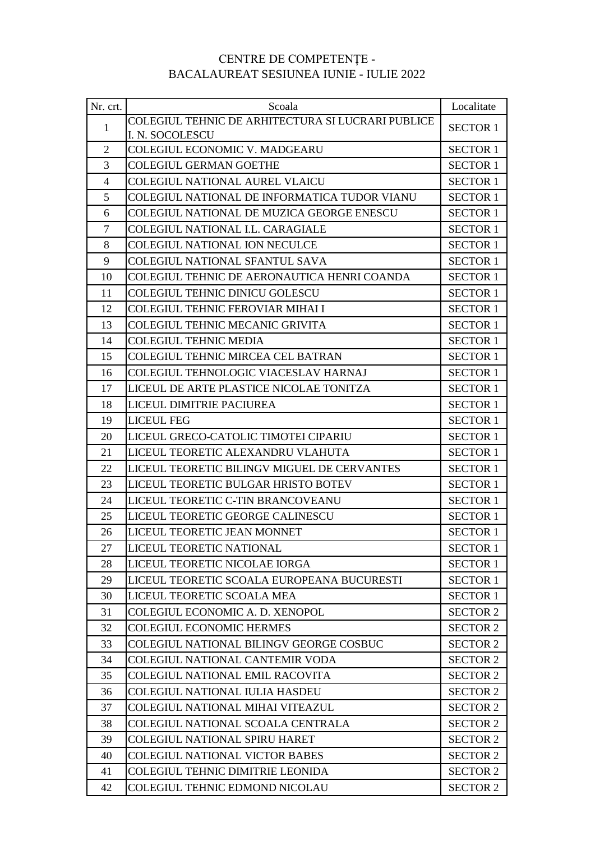## CENTRE DE COMPETENȚE - BACALAUREAT SESIUNEA IUNIE - IULIE 2022

| Nr. crt.       | Scoala                                            | Localitate      |
|----------------|---------------------------------------------------|-----------------|
| $\mathbf{1}$   | COLEGIUL TEHNIC DE ARHITECTURA SI LUCRARI PUBLICE | <b>SECTOR 1</b> |
|                | I. N. SOCOLESCU                                   |                 |
| $\overline{2}$ | <b>COLEGIUL ECONOMIC V. MADGEARU</b>              | <b>SECTOR 1</b> |
| $\overline{3}$ | <b>COLEGIUL GERMAN GOETHE</b>                     | <b>SECTOR 1</b> |
| $\overline{4}$ | <b>COLEGIUL NATIONAL AUREL VLAICU</b>             | <b>SECTOR 1</b> |
| 5              | COLEGIUL NATIONAL DE INFORMATICA TUDOR VIANU      | <b>SECTOR 1</b> |
| 6              | COLEGIUL NATIONAL DE MUZICA GEORGE ENESCU         | <b>SECTOR 1</b> |
| $\tau$         | COLEGIUL NATIONAL I.L. CARAGIALE                  | <b>SECTOR 1</b> |
| 8              | <b>COLEGIUL NATIONAL ION NECULCE</b>              | <b>SECTOR 1</b> |
| 9              | <b>COLEGIUL NATIONAL SFANTUL SAVA</b>             | <b>SECTOR 1</b> |
| 10             | COLEGIUL TEHNIC DE AERONAUTICA HENRI COANDA       | <b>SECTOR 1</b> |
| 11             | <b>COLEGIUL TEHNIC DINICU GOLESCU</b>             | <b>SECTOR 1</b> |
| 12             | <b>COLEGIUL TEHNIC FEROVIAR MIHAI I</b>           | <b>SECTOR 1</b> |
| 13             | <b>COLEGIUL TEHNIC MECANIC GRIVITA</b>            | <b>SECTOR 1</b> |
| 14             | <b>COLEGIUL TEHNIC MEDIA</b>                      | <b>SECTOR 1</b> |
| 15             | COLEGIUL TEHNIC MIRCEA CEL BATRAN                 | <b>SECTOR 1</b> |
| 16             | COLEGIUL TEHNOLOGIC VIACESLAV HARNAJ              | <b>SECTOR 1</b> |
| 17             | LICEUL DE ARTE PLASTICE NICOLAE TONITZA           | <b>SECTOR 1</b> |
| 18             | LICEUL DIMITRIE PACIUREA                          | <b>SECTOR 1</b> |
| 19             | <b>LICEUL FEG</b>                                 | <b>SECTOR 1</b> |
| 20             | LICEUL GRECO-CATOLIC TIMOTEI CIPARIU              | <b>SECTOR 1</b> |
| 21             | LICEUL TEORETIC ALEXANDRU VLAHUTA                 | <b>SECTOR 1</b> |
| 22             | LICEUL TEORETIC BILINGV MIGUEL DE CERVANTES       | <b>SECTOR 1</b> |
| 23             | LICEUL TEORETIC BULGAR HRISTO BOTEV               | <b>SECTOR 1</b> |
| 24             | LICEUL TEORETIC C-TIN BRANCOVEANU                 | <b>SECTOR 1</b> |
| 25             | LICEUL TEORETIC GEORGE CALINESCU                  | <b>SECTOR 1</b> |
| 26             | LICEUL TEORETIC JEAN MONNET                       | <b>SECTOR 1</b> |
| 27             | LICEUL TEORETIC NATIONAL                          | <b>SECTOR 1</b> |
| 28             | LICEUL TEORETIC NICOLAE IORGA                     | <b>SECTOR 1</b> |
| 29             | LICEUL TEORETIC SCOALA EUROPEANA BUCURESTI        | <b>SECTOR 1</b> |
| 30             | LICEUL TEORETIC SCOALA MEA                        | <b>SECTOR 1</b> |
| 31             | COLEGIUL ECONOMIC A. D. XENOPOL                   | <b>SECTOR 2</b> |
| 32             | <b>COLEGIUL ECONOMIC HERMES</b>                   | <b>SECTOR 2</b> |
| 33             | COLEGIUL NATIONAL BILINGV GEORGE COSBUC           | <b>SECTOR 2</b> |
| 34             | COLEGIUL NATIONAL CANTEMIR VODA                   | <b>SECTOR 2</b> |
| 35             | <b>COLEGIUL NATIONAL EMIL RACOVITA</b>            | <b>SECTOR 2</b> |
| 36             | <b>COLEGIUL NATIONAL IULIA HASDEU</b>             | <b>SECTOR 2</b> |
| 37             | COLEGIUL NATIONAL MIHAI VITEAZUL                  | <b>SECTOR 2</b> |
| 38             | COLEGIUL NATIONAL SCOALA CENTRALA                 | <b>SECTOR 2</b> |
| 39             | <b>COLEGIUL NATIONAL SPIRU HARET</b>              | <b>SECTOR 2</b> |
| 40             | <b>COLEGIUL NATIONAL VICTOR BABES</b>             | <b>SECTOR 2</b> |
| 41             | COLEGIUL TEHNIC DIMITRIE LEONIDA                  | <b>SECTOR 2</b> |
| 42             | COLEGIUL TEHNIC EDMOND NICOLAU                    | <b>SECTOR 2</b> |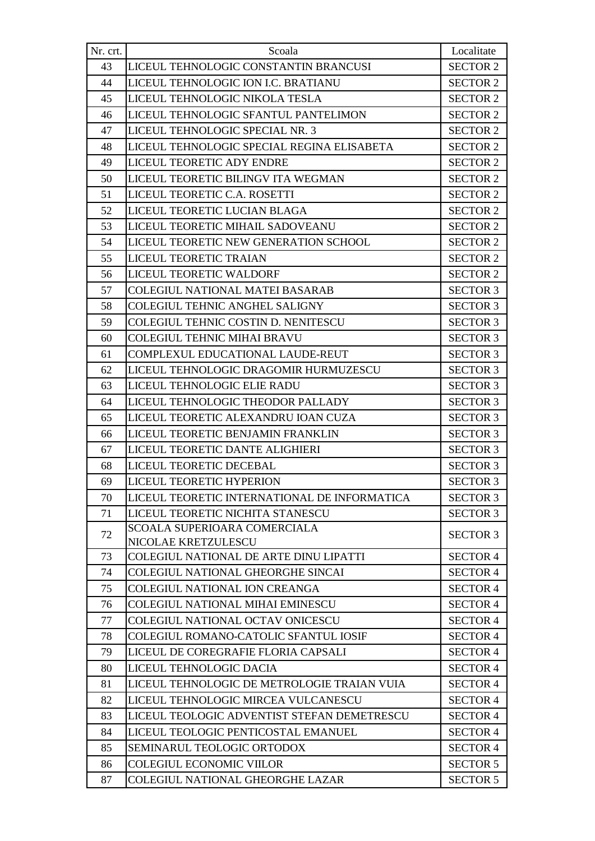| Nr. crt. | Scoala                                              | Localitate      |
|----------|-----------------------------------------------------|-----------------|
| 43       | LICEUL TEHNOLOGIC CONSTANTIN BRANCUSI               | <b>SECTOR 2</b> |
| 44       | LICEUL TEHNOLOGIC ION I.C. BRATIANU                 | <b>SECTOR 2</b> |
| 45       | LICEUL TEHNOLOGIC NIKOLA TESLA                      | <b>SECTOR 2</b> |
| 46       | LICEUL TEHNOLOGIC SFANTUL PANTELIMON                | <b>SECTOR 2</b> |
| 47       | LICEUL TEHNOLOGIC SPECIAL NR. 3                     | <b>SECTOR 2</b> |
| 48       | LICEUL TEHNOLOGIC SPECIAL REGINA ELISABETA          | <b>SECTOR 2</b> |
| 49       | LICEUL TEORETIC ADY ENDRE                           | <b>SECTOR 2</b> |
| 50       | LICEUL TEORETIC BILINGV ITA WEGMAN                  | <b>SECTOR 2</b> |
| 51       | LICEUL TEORETIC C.A. ROSETTI                        | <b>SECTOR 2</b> |
| 52       | LICEUL TEORETIC LUCIAN BLAGA                        | <b>SECTOR 2</b> |
| 53       | LICEUL TEORETIC MIHAIL SADOVEANU                    | <b>SECTOR 2</b> |
| 54       | LICEUL TEORETIC NEW GENERATION SCHOOL               | <b>SECTOR 2</b> |
| 55       | LICEUL TEORETIC TRAIAN                              | <b>SECTOR 2</b> |
| 56       | LICEUL TEORETIC WALDORF                             | <b>SECTOR 2</b> |
| 57       | <b>COLEGIUL NATIONAL MATEI BASARAB</b>              | <b>SECTOR 3</b> |
| 58       | <b>COLEGIUL TEHNIC ANGHEL SALIGNY</b>               | <b>SECTOR 3</b> |
| 59       | COLEGIUL TEHNIC COSTIN D. NENITESCU                 | <b>SECTOR 3</b> |
| 60       | <b>COLEGIUL TEHNIC MIHAI BRAVU</b>                  | <b>SECTOR 3</b> |
| 61       | COMPLEXUL EDUCATIONAL LAUDE-REUT                    | <b>SECTOR 3</b> |
| 62       | LICEUL TEHNOLOGIC DRAGOMIR HURMUZESCU               | <b>SECTOR 3</b> |
| 63       | LICEUL TEHNOLOGIC ELIE RADU                         | <b>SECTOR 3</b> |
| 64       | LICEUL TEHNOLOGIC THEODOR PALLADY                   | <b>SECTOR 3</b> |
| 65       | LICEUL TEORETIC ALEXANDRU IOAN CUZA                 | <b>SECTOR 3</b> |
| 66       | LICEUL TEORETIC BENJAMIN FRANKLIN                   | <b>SECTOR 3</b> |
| 67       | LICEUL TEORETIC DANTE ALIGHIERI                     | <b>SECTOR 3</b> |
| 68       | LICEUL TEORETIC DECEBAL                             | <b>SECTOR 3</b> |
| 69       | LICEUL TEORETIC HYPERION                            | <b>SECTOR 3</b> |
| 70       | LICEUL TEORETIC INTERNATIONAL DE INFORMATICA        | <b>SECTOR 3</b> |
| 71       | LICEUL TEORETIC NICHITA STANESCU                    | <b>SECTOR 3</b> |
| 72       | SCOALA SUPERIOARA COMERCIALA<br>NICOLAE KRETZULESCU | <b>SECTOR 3</b> |
| 73       | <b>COLEGIUL NATIONAL DE ARTE DINU LIPATTI</b>       | <b>SECTOR 4</b> |
| 74       | COLEGIUL NATIONAL GHEORGHE SINCAI                   | <b>SECTOR 4</b> |
| 75       | <b>COLEGIUL NATIONAL ION CREANGA</b>                | <b>SECTOR 4</b> |
| 76       | COLEGIUL NATIONAL MIHAI EMINESCU                    | <b>SECTOR 4</b> |
| 77       | COLEGIUL NATIONAL OCTAV ONICESCU                    | <b>SECTOR 4</b> |
| 78       | COLEGIUL ROMANO-CATOLIC SFANTUL IOSIF               | <b>SECTOR 4</b> |
| 79       | LICEUL DE COREGRAFIE FLORIA CAPSALI                 | <b>SECTOR 4</b> |
| 80       | LICEUL TEHNOLOGIC DACIA                             | <b>SECTOR 4</b> |
| 81       | LICEUL TEHNOLOGIC DE METROLOGIE TRAIAN VUIA         | <b>SECTOR 4</b> |
| 82       | LICEUL TEHNOLOGIC MIRCEA VULCANESCU                 | <b>SECTOR 4</b> |
| 83       | LICEUL TEOLOGIC ADVENTIST STEFAN DEMETRESCU         | <b>SECTOR 4</b> |
| 84       | LICEUL TEOLOGIC PENTICOSTAL EMANUEL                 | <b>SECTOR 4</b> |
| 85       | SEMINARUL TEOLOGIC ORTODOX                          | <b>SECTOR 4</b> |
| 86       | <b>COLEGIUL ECONOMIC VIILOR</b>                     | <b>SECTOR 5</b> |
| 87       | COLEGIUL NATIONAL GHEORGHE LAZAR                    | <b>SECTOR 5</b> |